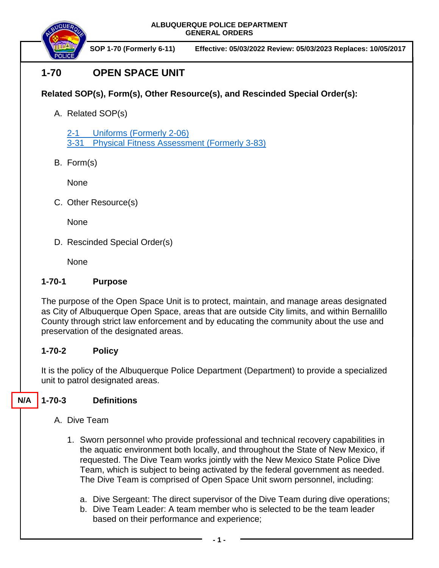

**SOP 1-70 (Formerly 6-11) Effective: 05/03/2022 Review: 05/03/2023 Replaces: 10/05/2017**

# **1-70 OPEN SPACE UNIT**

## **Related SOP(s), Form(s), Other Resource(s), and Rescinded Special Order(s):**

A. Related SOP(s)

[2-1 Uniforms](https://powerdms.com/docs/84?q=true) (Formerly 2-06) 3-31 [Physical Fitness Assessment](https://powerdms.com/docs/224?q=3-31) (Formerly 3-83)

B. Form(s)

None

C. Other Resource(s)

None

D. Rescinded Special Order(s)

**None** 

## **1-70-1 Purpose**

The purpose of the Open Space Unit is to protect, maintain, and manage areas designated as City of Albuquerque Open Space, areas that are outside City limits, and within Bernalillo County through strict law enforcement and by educating the community about the use and preservation of the designated areas.

## **1-70-2 Policy**

It is the policy of the Albuquerque Police Department (Department) to provide a specialized unit to patrol designated areas.

#### **1-70-3 Definitions N/A**

- A. Dive Team
	- 1. Sworn personnel who provide professional and technical recovery capabilities in the aquatic environment both locally, and throughout the State of New Mexico, if requested. The Dive Team works jointly with the New Mexico State Police Dive Team, which is subject to being activated by the federal government as needed. The Dive Team is comprised of Open Space Unit sworn personnel, including:
		- a. Dive Sergeant: The direct supervisor of the Dive Team during dive operations;
		- b. Dive Team Leader: A team member who is selected to be the team leader based on their performance and experience;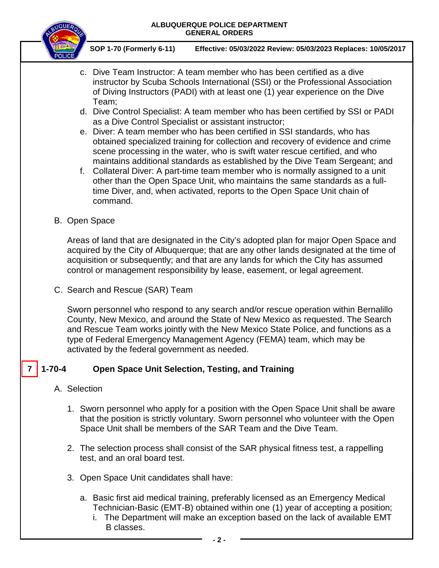

**SOP 1-70 (Formerly 6-11) Effective: 05/03/2022 Review: 05/03/2023 Replaces: 10/05/2017**

- c. Dive Team Instructor: A team member who has been certified as a dive instructor by Scuba Schools International (SSI) or the Professional Association of Diving Instructors (PADI) with at least one (1) year experience on the Dive Team;
- d. Dive Control Specialist: A team member who has been certified by SSI or PADI as a Dive Control Specialist or assistant instructor;
- e. Diver: A team member who has been certified in SSI standards, who has obtained specialized training for collection and recovery of evidence and crime scene processing in the water, who is swift water rescue certified, and who maintains additional standards as established by the Dive Team Sergeant; and
- f. Collateral Diver: A part-time team member who is normally assigned to a unit other than the Open Space Unit, who maintains the same standards as a fulltime Diver, and, when activated, reports to the Open Space Unit chain of command.
- B. Open Space

Areas of land that are designated in the City's adopted plan for major Open Space and acquired by the City of Albuquerque; that are any other lands designated at the time of acquisition or subsequently; and that are any lands for which the City has assumed control or management responsibility by lease, easement, or legal agreement.

C. Search and Rescue (SAR) Team

Sworn personnel who respond to any search and/or rescue operation within Bernalillo County, New Mexico, and around the State of New Mexico as requested. The Search and Rescue Team works jointly with the New Mexico State Police, and functions as a type of Federal Emergency Management Agency (FEMA) team, which may be activated by the federal government as needed.

#### **1-70-4 Open Space Unit Selection, Testing, and Training 7**

- A. Selection
	- 1. Sworn personnel who apply for a position with the Open Space Unit shall be aware that the position is strictly voluntary. Sworn personnel who volunteer with the Open Space Unit shall be members of the SAR Team and the Dive Team.
	- 2. The selection process shall consist of the SAR physical fitness test, a rappelling test, and an oral board test.
	- 3. Open Space Unit candidates shall have:
		- a. Basic first aid medical training, preferably licensed as an Emergency Medical Technician-Basic (EMT-B) obtained within one (1) year of accepting a position;
			- i. The Department will make an exception based on the lack of available EMT B classes.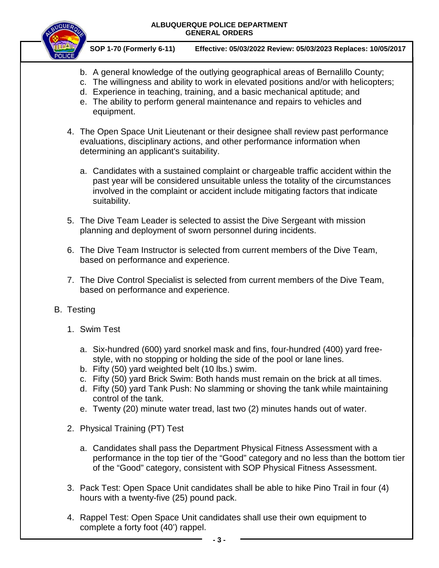

- b. A general knowledge of the outlying geographical areas of Bernalillo County;
- c. The willingness and ability to work in elevated positions and/or with helicopters;
- d. Experience in teaching, training, and a basic mechanical aptitude; and
- e. The ability to perform general maintenance and repairs to vehicles and equipment.
- 4. The Open Space Unit Lieutenant or their designee shall review past performance evaluations, disciplinary actions, and other performance information when determining an applicant's suitability.
	- a. Candidates with a sustained complaint or chargeable traffic accident within the past year will be considered unsuitable unless the totality of the circumstances involved in the complaint or accident include mitigating factors that indicate suitability.
- 5. The Dive Team Leader is selected to assist the Dive Sergeant with mission planning and deployment of sworn personnel during incidents.
- 6. The Dive Team Instructor is selected from current members of the Dive Team, based on performance and experience.
- 7. The Dive Control Specialist is selected from current members of the Dive Team, based on performance and experience.
- B. Testing
	- 1. Swim Test
		- a. Six-hundred (600) yard snorkel mask and fins, four-hundred (400) yard freestyle, with no stopping or holding the side of the pool or lane lines.
		- b. Fifty (50) yard weighted belt (10 lbs.) swim.
		- c. Fifty (50) yard Brick Swim: Both hands must remain on the brick at all times.
		- d. Fifty (50) yard Tank Push: No slamming or shoving the tank while maintaining control of the tank.
		- e. Twenty (20) minute water tread, last two (2) minutes hands out of water.
	- 2. Physical Training (PT) Test
		- a. Candidates shall pass the Department Physical Fitness Assessment with a performance in the top tier of the "Good" category and no less than the bottom tier of the "Good" category, consistent with SOP Physical Fitness Assessment.
	- 3. Pack Test: Open Space Unit candidates shall be able to hike Pino Trail in four (4) hours with a twenty-five (25) pound pack.
	- 4. Rappel Test: Open Space Unit candidates shall use their own equipment to complete a forty foot (40') rappel.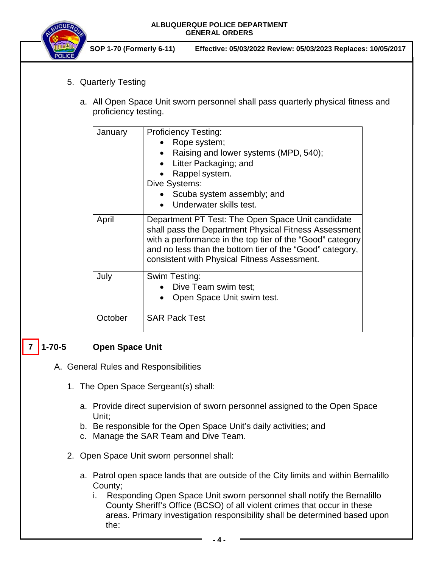

**SOP 1-70 (Formerly 6-11) Effective: 05/03/2022 Review: 05/03/2023 Replaces: 10/05/2017**

- 5. Quarterly Testing
	- a. All Open Space Unit sworn personnel shall pass quarterly physical fitness and proficiency testing.

| January | <b>Proficiency Testing:</b>                                                                                                                                                                                                                                                         |  |  |
|---------|-------------------------------------------------------------------------------------------------------------------------------------------------------------------------------------------------------------------------------------------------------------------------------------|--|--|
|         | Rope system;                                                                                                                                                                                                                                                                        |  |  |
|         | Raising and lower systems (MPD, 540);                                                                                                                                                                                                                                               |  |  |
|         | Litter Packaging; and                                                                                                                                                                                                                                                               |  |  |
|         | Rappel system.                                                                                                                                                                                                                                                                      |  |  |
|         | Dive Systems:                                                                                                                                                                                                                                                                       |  |  |
|         | Scuba system assembly; and                                                                                                                                                                                                                                                          |  |  |
|         | Underwater skills test.                                                                                                                                                                                                                                                             |  |  |
| April   | Department PT Test: The Open Space Unit candidate<br>shall pass the Department Physical Fitness Assessment<br>with a performance in the top tier of the "Good" category<br>and no less than the bottom tier of the "Good" category,<br>consistent with Physical Fitness Assessment. |  |  |
| July    | Swim Testing:                                                                                                                                                                                                                                                                       |  |  |
|         | Dive Team swim test;                                                                                                                                                                                                                                                                |  |  |
|         | Open Space Unit swim test.                                                                                                                                                                                                                                                          |  |  |
| October | <b>SAR Pack Test</b>                                                                                                                                                                                                                                                                |  |  |

#### **1-70-5 Open Space Unit 7**

- A. General Rules and Responsibilities
	- 1. The Open Space Sergeant(s) shall:
		- a. Provide direct supervision of sworn personnel assigned to the Open Space Unit;
		- b. Be responsible for the Open Space Unit's daily activities; and
		- c. Manage the SAR Team and Dive Team.
	- 2. Open Space Unit sworn personnel shall:
		- a. Patrol open space lands that are outside of the City limits and within Bernalillo County;
			- i. Responding Open Space Unit sworn personnel shall notify the Bernalillo County Sheriff's Office (BCSO) of all violent crimes that occur in these areas. Primary investigation responsibility shall be determined based upon the: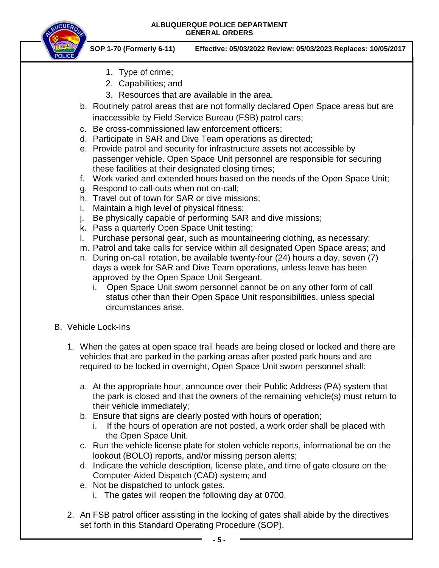

- 1. Type of crime;
- 2. Capabilities; and
- 3. Resources that are available in the area.
- b. Routinely patrol areas that are not formally declared Open Space areas but are inaccessible by Field Service Bureau (FSB) patrol cars;
- c. Be cross-commissioned law enforcement officers;
- d. Participate in SAR and Dive Team operations as directed;
- e. Provide patrol and security for infrastructure assets not accessible by passenger vehicle. Open Space Unit personnel are responsible for securing these facilities at their designated closing times;
- f. Work varied and extended hours based on the needs of the Open Space Unit;
- g. Respond to call-outs when not on-call;
- h. Travel out of town for SAR or dive missions;
- i. Maintain a high level of physical fitness;
- j. Be physically capable of performing SAR and dive missions;
- k. Pass a quarterly Open Space Unit testing;
- l. Purchase personal gear, such as mountaineering clothing, as necessary;
- m. Patrol and take calls for service within all designated Open Space areas; and
- n. During on-call rotation, be available twenty-four (24) hours a day, seven (7) days a week for SAR and Dive Team operations, unless leave has been approved by the Open Space Unit Sergeant.
	- i. Open Space Unit sworn personnel cannot be on any other form of call status other than their Open Space Unit responsibilities, unless special circumstances arise.
- B. Vehicle Lock-Ins
	- 1. When the gates at open space trail heads are being closed or locked and there are vehicles that are parked in the parking areas after posted park hours and are required to be locked in overnight, Open Space Unit sworn personnel shall:
		- a. At the appropriate hour, announce over their Public Address (PA) system that the park is closed and that the owners of the remaining vehicle(s) must return to their vehicle immediately;
		- b. Ensure that signs are clearly posted with hours of operation;
			- i. If the hours of operation are not posted, a work order shall be placed with the Open Space Unit.
		- c. Run the vehicle license plate for stolen vehicle reports, informational be on the lookout (BOLO) reports, and/or missing person alerts;
		- d. Indicate the vehicle description, license plate, and time of gate closure on the Computer-Aided Dispatch (CAD) system; and
		- e. Not be dispatched to unlock gates.
			- i. The gates will reopen the following day at 0700.
	- 2. An FSB patrol officer assisting in the locking of gates shall abide by the directives set forth in this Standard Operating Procedure (SOP).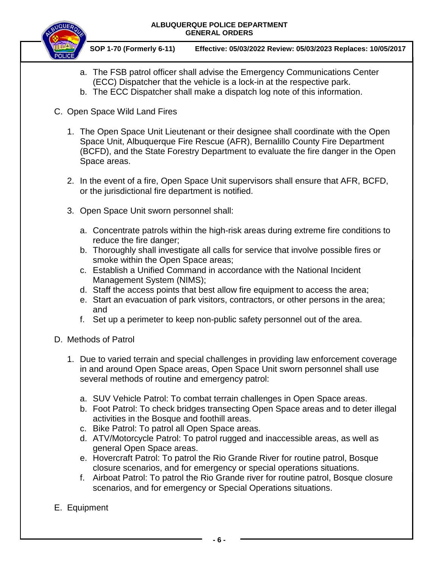

- a. The FSB patrol officer shall advise the Emergency Communications Center (ECC) Dispatcher that the vehicle is a lock-in at the respective park.
- b. The ECC Dispatcher shall make a dispatch log note of this information.
- C. Open Space Wild Land Fires
	- 1. The Open Space Unit Lieutenant or their designee shall coordinate with the Open Space Unit, Albuquerque Fire Rescue (AFR), Bernalillo County Fire Department (BCFD), and the State Forestry Department to evaluate the fire danger in the Open Space areas.
	- 2. In the event of a fire, Open Space Unit supervisors shall ensure that AFR, BCFD, or the jurisdictional fire department is notified.
	- 3. Open Space Unit sworn personnel shall:
		- a. Concentrate patrols within the high-risk areas during extreme fire conditions to reduce the fire danger;
		- b. Thoroughly shall investigate all calls for service that involve possible fires or smoke within the Open Space areas;
		- c. Establish a Unified Command in accordance with the National Incident Management System (NIMS);
		- d. Staff the access points that best allow fire equipment to access the area;
		- e. Start an evacuation of park visitors, contractors, or other persons in the area; and
		- f. Set up a perimeter to keep non-public safety personnel out of the area.
- D. Methods of Patrol
	- 1. Due to varied terrain and special challenges in providing law enforcement coverage in and around Open Space areas, Open Space Unit sworn personnel shall use several methods of routine and emergency patrol:
		- a. SUV Vehicle Patrol: To combat terrain challenges in Open Space areas.
		- b. Foot Patrol: To check bridges transecting Open Space areas and to deter illegal activities in the Bosque and foothill areas.
		- c. Bike Patrol: To patrol all Open Space areas.
		- d. ATV/Motorcycle Patrol: To patrol rugged and inaccessible areas, as well as general Open Space areas.
		- e. Hovercraft Patrol: To patrol the Rio Grande River for routine patrol, Bosque closure scenarios, and for emergency or special operations situations.
		- f. Airboat Patrol: To patrol the Rio Grande river for routine patrol, Bosque closure scenarios, and for emergency or Special Operations situations.
- E. Equipment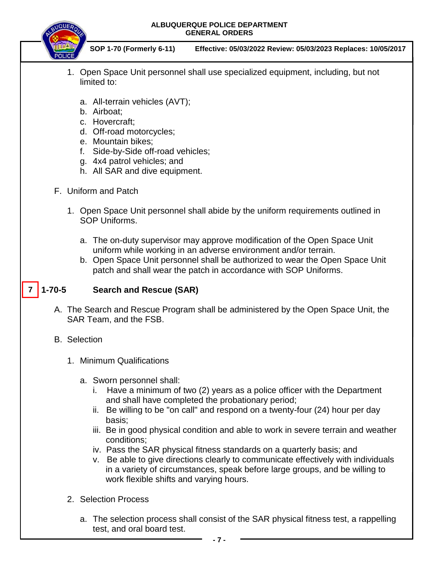

**SOP 1-70 (Formerly 6-11) Effective: 05/03/2022 Review: 05/03/2023 Replaces: 10/05/2017**

- 1. Open Space Unit personnel shall use specialized equipment, including, but not limited to:
	- a. All-terrain vehicles (AVT);
	- b. Airboat;
	- c. Hovercraft;
	- d. Off-road motorcycles;
	- e. Mountain bikes;
	- f. Side-by-Side off-road vehicles;
	- g. 4x4 patrol vehicles; and
	- h. All SAR and dive equipment.
- F. Uniform and Patch
	- 1. Open Space Unit personnel shall abide by the uniform requirements outlined in SOP Uniforms.
		- a. The on-duty supervisor may approve modification of the Open Space Unit uniform while working in an adverse environment and/or terrain.
		- b. Open Space Unit personnel shall be authorized to wear the Open Space Unit patch and shall wear the patch in accordance with SOP Uniforms.

#### **1-70-5 Search and Rescue (SAR) 7**

- A. The Search and Rescue Program shall be administered by the Open Space Unit, the SAR Team, and the FSB.
- B. Selection
	- 1. Minimum Qualifications
		- a. Sworn personnel shall:
			- i. Have a minimum of two (2) years as a police officer with the Department and shall have completed the probationary period;
			- ii. Be willing to be "on call" and respond on a twenty-four (24) hour per day basis;
			- iii. Be in good physical condition and able to work in severe terrain and weather conditions;
			- iv. Pass the SAR physical fitness standards on a quarterly basis; and
			- v. Be able to give directions clearly to communicate effectively with individuals in a variety of circumstances, speak before large groups, and be willing to work flexible shifts and varying hours.
	- 2. Selection Process
		- a. The selection process shall consist of the SAR physical fitness test, a rappelling test, and oral board test.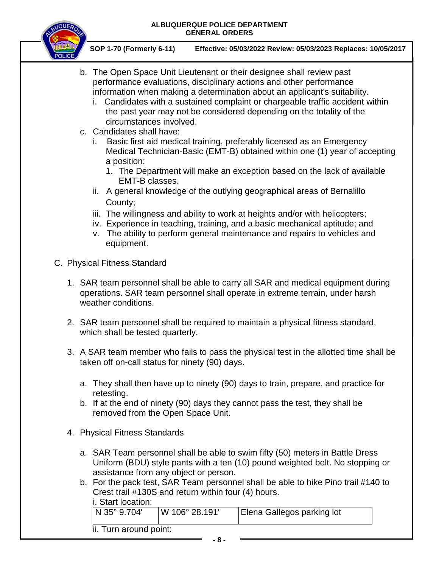

- b. The Open Space Unit Lieutenant or their designee shall review past performance evaluations, disciplinary actions and other performance information when making a determination about an applicant's suitability.
	- i. Candidates with a sustained complaint or chargeable traffic accident within the past year may not be considered depending on the totality of the circumstances involved.
- c. Candidates shall have:
	- i. Basic first aid medical training, preferably licensed as an Emergency Medical Technician-Basic (EMT-B) obtained within one (1) year of accepting a position;
		- 1. The Department will make an exception based on the lack of available EMT-B classes.
	- ii. A general knowledge of the outlying geographical areas of Bernalillo County;
	- iii. The willingness and ability to work at heights and/or with helicopters;
	- iv. Experience in teaching, training, and a basic mechanical aptitude; and
	- v. The ability to perform general maintenance and repairs to vehicles and equipment.
- C. Physical Fitness Standard
	- 1. SAR team personnel shall be able to carry all SAR and medical equipment during operations. SAR team personnel shall operate in extreme terrain, under harsh weather conditions.
	- 2. SAR team personnel shall be required to maintain a physical fitness standard, which shall be tested quarterly.
	- 3. A SAR team member who fails to pass the physical test in the allotted time shall be taken off on-call status for ninety (90) days.
		- a. They shall then have up to ninety (90) days to train, prepare, and practice for retesting.
		- b. If at the end of ninety (90) days they cannot pass the test, they shall be removed from the Open Space Unit.
	- 4. Physical Fitness Standards
		- a. SAR Team personnel shall be able to swim fifty (50) meters in Battle Dress Uniform (BDU) style pants with a ten (10) pound weighted belt. No stopping or assistance from any object or person.
		- b. For the pack test, SAR Team personnel shall be able to hike Pino trail #140 to Crest trail #130S and return within four (4) hours.

| $\overline{N}$ 35° 9.704' | W 106° 28.191' | <b>I Elena Gallegos parking lot</b> |
|---------------------------|----------------|-------------------------------------|
| ii. Turn around point:    |                |                                     |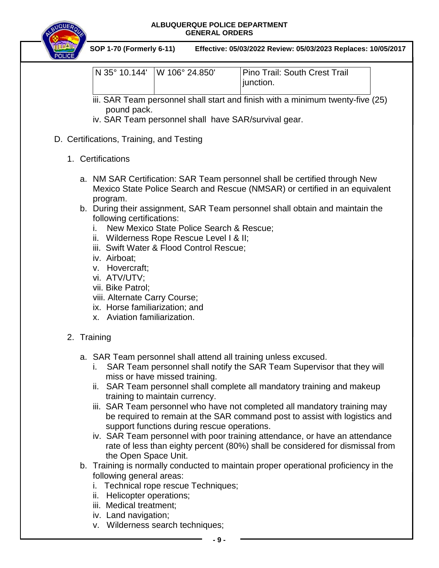| <b>UQUEA</b> |                                                                                                                                                                                                                       | ALBUQUERQUE POLICE DEPARTMENT<br><b>GENERAL ORDERS</b>                                                                           |                                                                                                                                                                                                                                                                                                                                                                                                                                                                                                                                                 |
|--------------|-----------------------------------------------------------------------------------------------------------------------------------------------------------------------------------------------------------------------|----------------------------------------------------------------------------------------------------------------------------------|-------------------------------------------------------------------------------------------------------------------------------------------------------------------------------------------------------------------------------------------------------------------------------------------------------------------------------------------------------------------------------------------------------------------------------------------------------------------------------------------------------------------------------------------------|
|              | SOP 1-70 (Formerly 6-11)                                                                                                                                                                                              |                                                                                                                                  | Effective: 05/03/2022 Review: 05/03/2023 Replaces: 10/05/2017                                                                                                                                                                                                                                                                                                                                                                                                                                                                                   |
|              | N 35° 10.144'                                                                                                                                                                                                         | W 106° 24.850'                                                                                                                   | <b>Pino Trail: South Crest Trail</b><br>junction.                                                                                                                                                                                                                                                                                                                                                                                                                                                                                               |
|              | pound pack.                                                                                                                                                                                                           | iv. SAR Team personnel shall have SAR/survival gear.                                                                             | iii. SAR Team personnel shall start and finish with a minimum twenty-five (25)                                                                                                                                                                                                                                                                                                                                                                                                                                                                  |
|              | D. Certifications, Training, and Testing                                                                                                                                                                              |                                                                                                                                  |                                                                                                                                                                                                                                                                                                                                                                                                                                                                                                                                                 |
|              | 1. Certifications                                                                                                                                                                                                     |                                                                                                                                  |                                                                                                                                                                                                                                                                                                                                                                                                                                                                                                                                                 |
|              | program.<br>following certifications:<br>İ.<br>iv. Airboat:<br>v. Hovercraft;<br>vi. ATV/UTV;<br>vii. Bike Patrol;<br>viii. Alternate Carry Course;<br>ix. Horse familiarization; and<br>x. Aviation familiarization. | New Mexico State Police Search & Rescue;<br>ii. Wilderness Rope Rescue Level I & II;<br>iii. Swift Water & Flood Control Rescue; | a. NM SAR Certification: SAR Team personnel shall be certified through New<br>Mexico State Police Search and Rescue (NMSAR) or certified in an equivalent<br>b. During their assignment, SAR Team personnel shall obtain and maintain the                                                                                                                                                                                                                                                                                                       |
|              | 2. Training                                                                                                                                                                                                           |                                                                                                                                  |                                                                                                                                                                                                                                                                                                                                                                                                                                                                                                                                                 |
|              | the Open Space Unit.                                                                                                                                                                                                  | miss or have missed training.<br>training to maintain currency.<br>support functions during rescue operations.                   | a. SAR Team personnel shall attend all training unless excused.<br>SAR Team personnel shall notify the SAR Team Supervisor that they will<br>ii. SAR Team personnel shall complete all mandatory training and makeup<br>iii. SAR Team personnel who have not completed all mandatory training may<br>be required to remain at the SAR command post to assist with logistics and<br>iv. SAR Team personnel with poor training attendance, or have an attendance<br>rate of less than eighty percent (80%) shall be considered for dismissal from |
|              | following general areas:                                                                                                                                                                                              |                                                                                                                                  | b. Training is normally conducted to maintain proper operational proficiency in the                                                                                                                                                                                                                                                                                                                                                                                                                                                             |

- i. Technical rope rescue Techniques;
- ii. Helicopter operations;
- iii. Medical treatment;
- iv. Land navigation;
- v. Wilderness search techniques;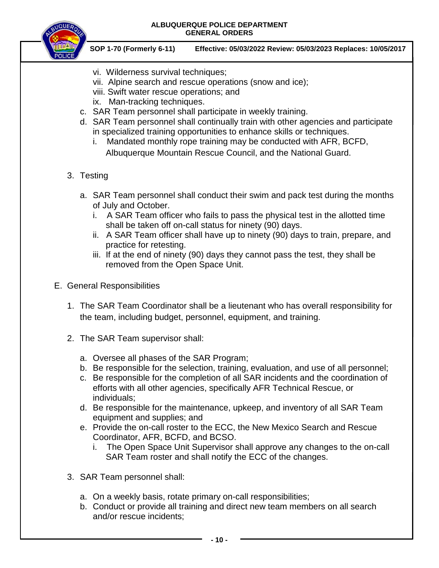

- vi. Wilderness survival techniques;
- vii. Alpine search and rescue operations (snow and ice);
- viii. Swift water rescue operations; and
- ix. Man-tracking techniques.
- c. SAR Team personnel shall participate in weekly training.
- d. SAR Team personnel shall continually train with other agencies and participate in specialized training opportunities to enhance skills or techniques.
	- i. Mandated monthly rope training may be conducted with AFR, BCFD, Albuquerque Mountain Rescue Council, and the National Guard.
- 3. Testing
	- a. SAR Team personnel shall conduct their swim and pack test during the months of July and October.
		- i. A SAR Team officer who fails to pass the physical test in the allotted time shall be taken off on-call status for ninety (90) days.
		- ii. A SAR Team officer shall have up to ninety (90) days to train, prepare, and practice for retesting.
		- iii. If at the end of ninety (90) days they cannot pass the test, they shall be removed from the Open Space Unit.
- E. General Responsibilities
	- 1. The SAR Team Coordinator shall be a lieutenant who has overall responsibility for the team, including budget, personnel, equipment, and training.
	- 2. The SAR Team supervisor shall:
		- a. Oversee all phases of the SAR Program;
		- b. Be responsible for the selection, training, evaluation, and use of all personnel;
		- c. Be responsible for the completion of all SAR incidents and the coordination of efforts with all other agencies, specifically AFR Technical Rescue, or individuals;
		- d. Be responsible for the maintenance, upkeep, and inventory of all SAR Team equipment and supplies; and
		- e. Provide the on-call roster to the ECC, the New Mexico Search and Rescue Coordinator, AFR, BCFD, and BCSO.
			- i. The Open Space Unit Supervisor shall approve any changes to the on-call SAR Team roster and shall notify the ECC of the changes.
	- 3. SAR Team personnel shall:
		- a. On a weekly basis, rotate primary on-call responsibilities;
		- b. Conduct or provide all training and direct new team members on all search and/or rescue incidents;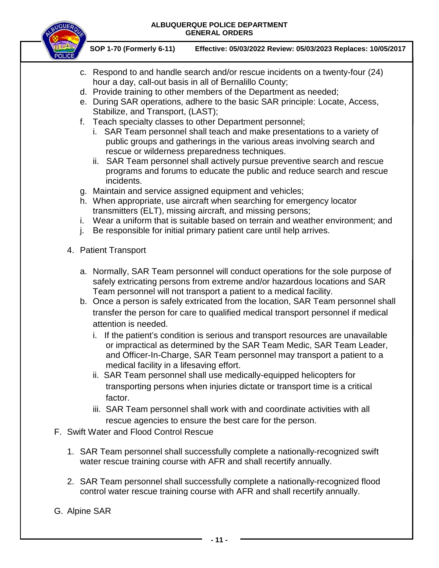

- c. Respond to and handle search and/or rescue incidents on a twenty-four (24) hour a day, call-out basis in all of Bernalillo County;
- d. Provide training to other members of the Department as needed;
- e. During SAR operations, adhere to the basic SAR principle: Locate, Access, Stabilize, and Transport, (LAST);
- f. Teach specialty classes to other Department personnel;
	- i. SAR Team personnel shall teach and make presentations to a variety of public groups and gatherings in the various areas involving search and rescue or wilderness preparedness techniques.
	- ii. SAR Team personnel shall actively pursue preventive search and rescue programs and forums to educate the public and reduce search and rescue incidents.
- g. Maintain and service assigned equipment and vehicles;
- h. When appropriate, use aircraft when searching for emergency locator transmitters (ELT), missing aircraft, and missing persons;
- i. Wear a uniform that is suitable based on terrain and weather environment; and
- j. Be responsible for initial primary patient care until help arrives.
- 4. Patient Transport
	- a. Normally, SAR Team personnel will conduct operations for the sole purpose of safely extricating persons from extreme and/or hazardous locations and SAR Team personnel will not transport a patient to a medical facility.
	- b. Once a person is safely extricated from the location, SAR Team personnel shall transfer the person for care to qualified medical transport personnel if medical attention is needed.
		- i. If the patient's condition is serious and transport resources are unavailable or impractical as determined by the SAR Team Medic, SAR Team Leader, and Officer-In-Charge, SAR Team personnel may transport a patient to a medical facility in a lifesaving effort.
		- ii. SAR Team personnel shall use medically-equipped helicopters for transporting persons when injuries dictate or transport time is a critical factor.
		- iii. SAR Team personnel shall work with and coordinate activities with all rescue agencies to ensure the best care for the person.
- F. Swift Water and Flood Control Rescue
	- 1. SAR Team personnel shall successfully complete a nationally-recognized swift water rescue training course with AFR and shall recertify annually.
	- 2. SAR Team personnel shall successfully complete a nationally-recognized flood control water rescue training course with AFR and shall recertify annually.
- G. Alpine SAR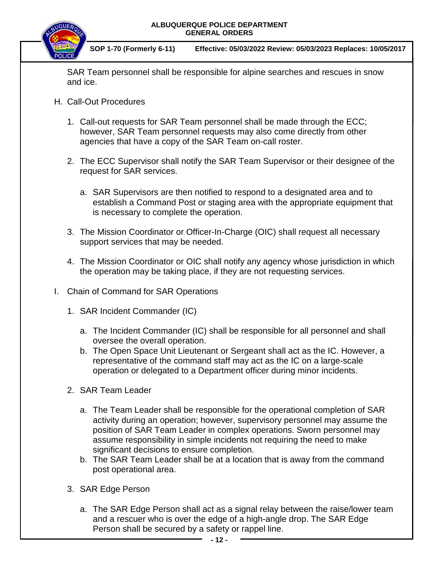

**SOP 1-70 (Formerly 6-11) Effective: 05/03/2022 Review: 05/03/2023 Replaces: 10/05/2017**

SAR Team personnel shall be responsible for alpine searches and rescues in snow and ice.

- H. Call-Out Procedures
	- 1. Call-out requests for SAR Team personnel shall be made through the ECC; however, SAR Team personnel requests may also come directly from other agencies that have a copy of the SAR Team on-call roster.
	- 2. The ECC Supervisor shall notify the SAR Team Supervisor or their designee of the request for SAR services.
		- a. SAR Supervisors are then notified to respond to a designated area and to establish a Command Post or staging area with the appropriate equipment that is necessary to complete the operation.
	- 3. The Mission Coordinator or Officer-In-Charge (OIC) shall request all necessary support services that may be needed.
	- 4. The Mission Coordinator or OIC shall notify any agency whose jurisdiction in which the operation may be taking place, if they are not requesting services.
- I. Chain of Command for SAR Operations
	- 1. SAR Incident Commander (IC)
		- a. The Incident Commander (IC) shall be responsible for all personnel and shall oversee the overall operation.
		- b. The Open Space Unit Lieutenant or Sergeant shall act as the IC. However, a representative of the command staff may act as the IC on a large-scale operation or delegated to a Department officer during minor incidents.
	- 2. SAR Team Leader
		- a. The Team Leader shall be responsible for the operational completion of SAR activity during an operation; however, supervisory personnel may assume the position of SAR Team Leader in complex operations. Sworn personnel may assume responsibility in simple incidents not requiring the need to make significant decisions to ensure completion.
		- b. The SAR Team Leader shall be at a location that is away from the command post operational area.
	- 3. SAR Edge Person
		- a. The SAR Edge Person shall act as a signal relay between the raise/lower team and a rescuer who is over the edge of a high-angle drop. The SAR Edge Person shall be secured by a safety or rappel line.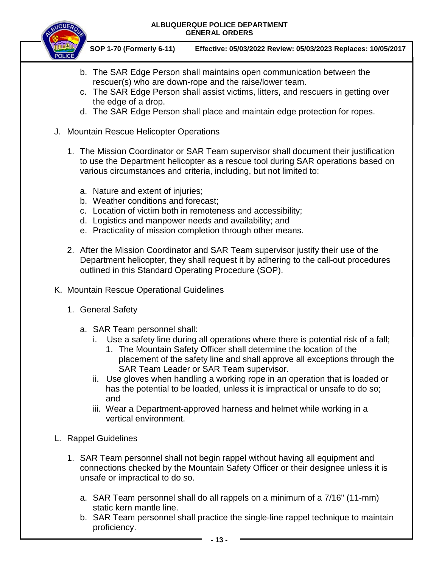

- b. The SAR Edge Person shall maintains open communication between the rescuer(s) who are down-rope and the raise/lower team.
- c. The SAR Edge Person shall assist victims, litters, and rescuers in getting over the edge of a drop.
- d. The SAR Edge Person shall place and maintain edge protection for ropes.
- J. Mountain Rescue Helicopter Operations
	- 1. The Mission Coordinator or SAR Team supervisor shall document their justification to use the Department helicopter as a rescue tool during SAR operations based on various circumstances and criteria, including, but not limited to:
		- a. Nature and extent of injuries;
		- b. Weather conditions and forecast;
		- c. Location of victim both in remoteness and accessibility;
		- d. Logistics and manpower needs and availability; and
		- e. Practicality of mission completion through other means.
	- 2. After the Mission Coordinator and SAR Team supervisor justify their use of the Department helicopter, they shall request it by adhering to the call-out procedures outlined in this Standard Operating Procedure (SOP).
- K. Mountain Rescue Operational Guidelines
	- 1. General Safety
		- a. SAR Team personnel shall:
			- i. Use a safety line during all operations where there is potential risk of a fall;
				- 1. The Mountain Safety Officer shall determine the location of the placement of the safety line and shall approve all exceptions through the SAR Team Leader or SAR Team supervisor.
			- ii. Use gloves when handling a working rope in an operation that is loaded or has the potential to be loaded, unless it is impractical or unsafe to do so; and
			- iii. Wear a Department-approved harness and helmet while working in a vertical environment.
- L. Rappel Guidelines
	- 1. SAR Team personnel shall not begin rappel without having all equipment and connections checked by the Mountain Safety Officer or their designee unless it is unsafe or impractical to do so.
		- a. SAR Team personnel shall do all rappels on a minimum of a 7/16" (11-mm) static kern mantle line.
		- b. SAR Team personnel shall practice the single-line rappel technique to maintain proficiency.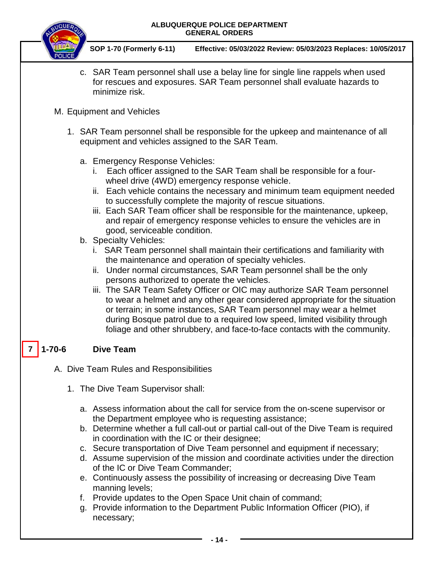

**SOP 1-70 (Formerly 6-11) Effective: 05/03/2022 Review: 05/03/2023 Replaces: 10/05/2017**

c. SAR Team personnel shall use a belay line for single line rappels when used for rescues and exposures. SAR Team personnel shall evaluate hazards to minimize risk.

## M. Equipment and Vehicles

- 1. SAR Team personnel shall be responsible for the upkeep and maintenance of all equipment and vehicles assigned to the SAR Team.
	- a. Emergency Response Vehicles:
		- i. Each officer assigned to the SAR Team shall be responsible for a fourwheel drive (4WD) emergency response vehicle.
		- ii. Each vehicle contains the necessary and minimum team equipment needed to successfully complete the majority of rescue situations.
		- iii. Each SAR Team officer shall be responsible for the maintenance, upkeep, and repair of emergency response vehicles to ensure the vehicles are in good, serviceable condition.
	- b. Specialty Vehicles:
		- i. SAR Team personnel shall maintain their certifications and familiarity with the maintenance and operation of specialty vehicles.
		- ii. Under normal circumstances, SAR Team personnel shall be the only persons authorized to operate the vehicles.
		- iii. The SAR Team Safety Officer or OIC may authorize SAR Team personnel to wear a helmet and any other gear considered appropriate for the situation or terrain; in some instances, SAR Team personnel may wear a helmet during Bosque patrol due to a required low speed, limited visibility through foliage and other shrubbery, and face-to-face contacts with the community.

#### **1-70-6 Dive Team 7**

- A. Dive Team Rules and Responsibilities
	- 1. The Dive Team Supervisor shall:
		- a. Assess information about the call for service from the on-scene supervisor or the Department employee who is requesting assistance;
		- b. Determine whether a full call-out or partial call-out of the Dive Team is required in coordination with the IC or their designee;
		- c. Secure transportation of Dive Team personnel and equipment if necessary;
		- d. Assume supervision of the mission and coordinate activities under the direction of the IC or Dive Team Commander;
		- e. Continuously assess the possibility of increasing or decreasing Dive Team manning levels;
		- f. Provide updates to the Open Space Unit chain of command;
		- g. Provide information to the Department Public Information Officer (PIO), if necessary;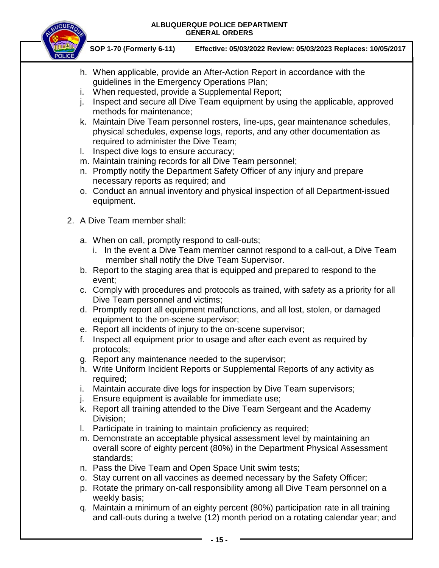

- h. When applicable, provide an After-Action Report in accordance with the guidelines in the Emergency Operations Plan;
- i. When requested, provide a Supplemental Report;
- j. Inspect and secure all Dive Team equipment by using the applicable, approved methods for maintenance;
- k. Maintain Dive Team personnel rosters, line-ups, gear maintenance schedules, physical schedules, expense logs, reports, and any other documentation as required to administer the Dive Team;
- l. Inspect dive logs to ensure accuracy;
- m. Maintain training records for all Dive Team personnel;
- n. Promptly notify the Department Safety Officer of any injury and prepare necessary reports as required; and
- o. Conduct an annual inventory and physical inspection of all Department-issued equipment.
- 2. A Dive Team member shall:
	- a. When on call, promptly respond to call-outs;
		- i. In the event a Dive Team member cannot respond to a call-out, a Dive Team member shall notify the Dive Team Supervisor.
	- b. Report to the staging area that is equipped and prepared to respond to the event;
	- c. Comply with procedures and protocols as trained, with safety as a priority for all Dive Team personnel and victims;
	- d. Promptly report all equipment malfunctions, and all lost, stolen, or damaged equipment to the on-scene supervisor;
	- e. Report all incidents of injury to the on-scene supervisor;
	- f. Inspect all equipment prior to usage and after each event as required by protocols;
	- g. Report any maintenance needed to the supervisor;
	- h. Write Uniform Incident Reports or Supplemental Reports of any activity as required;
	- i. Maintain accurate dive logs for inspection by Dive Team supervisors;
	- j. Ensure equipment is available for immediate use;
	- k. Report all training attended to the Dive Team Sergeant and the Academy Division;
	- l. Participate in training to maintain proficiency as required;
	- m. Demonstrate an acceptable physical assessment level by maintaining an overall score of eighty percent (80%) in the Department Physical Assessment standards;
	- n. Pass the Dive Team and Open Space Unit swim tests;
	- o. Stay current on all vaccines as deemed necessary by the Safety Officer;
	- p. Rotate the primary on-call responsibility among all Dive Team personnel on a weekly basis;
	- q. Maintain a minimum of an eighty percent (80%) participation rate in all training and call-outs during a twelve (12) month period on a rotating calendar year; and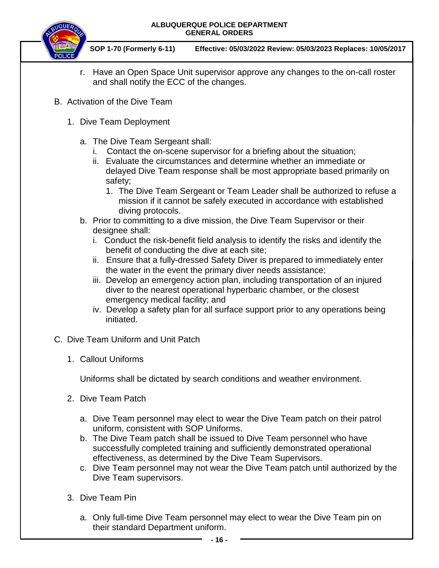

**SOP 1-70 (Formerly 6-11) Effective: 05/03/2022 Review: 05/03/2023 Replaces: 10/05/2017**

- r. Have an Open Space Unit supervisor approve any changes to the on-call roster and shall notify the ECC of the changes.
- B. Activation of the Dive Team
	- 1. Dive Team Deployment
		- a. The Dive Team Sergeant shall:
			- i. Contact the on-scene supervisor for a briefing about the situation;
			- ii. Evaluate the circumstances and determine whether an immediate or delayed Dive Team response shall be most appropriate based primarily on safety;
				- 1. The Dive Team Sergeant or Team Leader shall be authorized to refuse a mission if it cannot be safely executed in accordance with established diving protocols.
		- b. Prior to committing to a dive mission, the Dive Team Supervisor or their designee shall:
			- i.Conduct the risk-benefit field analysis to identify the risks and identify the benefit of conducting the dive at each site;
			- ii. Ensure that a fully-dressed Safety Diver is prepared to immediately enter the water in the event the primary diver needs assistance;
			- iii. Develop an emergency action plan, including transportation of an injured diver to the nearest operational hyperbaric chamber, or the closest emergency medical facility; and
			- iv. Develop a safety plan for all surface support prior to any operations being initiated.
- C. Dive Team Uniform and Unit Patch
	- 1. Callout Uniforms

Uniforms shall be dictated by search conditions and weather environment.

- 2. Dive Team Patch
	- a. Dive Team personnel may elect to wear the Dive Team patch on their patrol uniform, consistent with SOP Uniforms.
	- b. The Dive Team patch shall be issued to Dive Team personnel who have successfully completed training and sufficiently demonstrated operational effectiveness, as determined by the Dive Team Supervisors.
	- c. Dive Team personnel may not wear the Dive Team patch until authorized by the Dive Team supervisors.
- 3. Dive Team Pin
	- a. Only full-time Dive Team personnel may elect to wear the Dive Team pin on their standard Department uniform.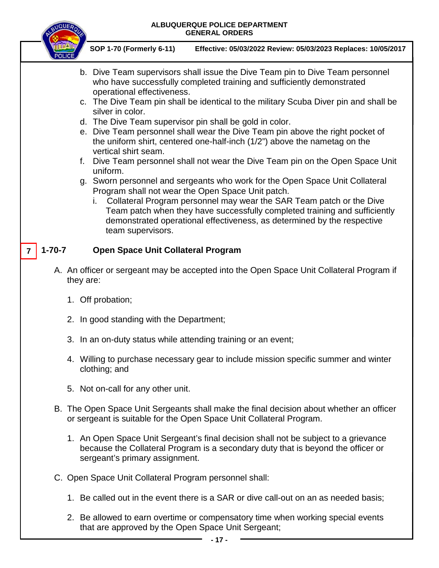| <b><i>IQUE</i></b> | ALBUQUERQUE POLICE DEPARTMENT<br><b>GENERAL ORDERS</b>                                                                                                                                                                                                                                                                                                                                                                                                                                                                                                                                                                                                                                                                                                                                                                                                                                                                                                                                                                                         |
|--------------------|------------------------------------------------------------------------------------------------------------------------------------------------------------------------------------------------------------------------------------------------------------------------------------------------------------------------------------------------------------------------------------------------------------------------------------------------------------------------------------------------------------------------------------------------------------------------------------------------------------------------------------------------------------------------------------------------------------------------------------------------------------------------------------------------------------------------------------------------------------------------------------------------------------------------------------------------------------------------------------------------------------------------------------------------|
|                    | SOP 1-70 (Formerly 6-11)<br>Effective: 05/03/2022 Review: 05/03/2023 Replaces: 10/05/2017                                                                                                                                                                                                                                                                                                                                                                                                                                                                                                                                                                                                                                                                                                                                                                                                                                                                                                                                                      |
|                    | b. Dive Team supervisors shall issue the Dive Team pin to Dive Team personnel<br>who have successfully completed training and sufficiently demonstrated<br>operational effectiveness.<br>c. The Dive Team pin shall be identical to the military Scuba Diver pin and shall be<br>silver in color.<br>d. The Dive Team supervisor pin shall be gold in color.<br>e. Dive Team personnel shall wear the Dive Team pin above the right pocket of<br>the uniform shirt, centered one-half-inch (1/2") above the nametag on the<br>vertical shirt seam.<br>Dive Team personnel shall not wear the Dive Team pin on the Open Space Unit<br>f.<br>uniform.<br>g. Sworn personnel and sergeants who work for the Open Space Unit Collateral<br>Program shall not wear the Open Space Unit patch.<br>Collateral Program personnel may wear the SAR Team patch or the Dive<br>Team patch when they have successfully completed training and sufficiently<br>demonstrated operational effectiveness, as determined by the respective<br>team supervisors. |
| $1 - 70 - 7$       | <b>Open Space Unit Collateral Program</b>                                                                                                                                                                                                                                                                                                                                                                                                                                                                                                                                                                                                                                                                                                                                                                                                                                                                                                                                                                                                      |
|                    | A. An officer or sergeant may be accepted into the Open Space Unit Collateral Program if<br>they are:                                                                                                                                                                                                                                                                                                                                                                                                                                                                                                                                                                                                                                                                                                                                                                                                                                                                                                                                          |
|                    | 1. Off probation;                                                                                                                                                                                                                                                                                                                                                                                                                                                                                                                                                                                                                                                                                                                                                                                                                                                                                                                                                                                                                              |
|                    | 2. In good standing with the Department;                                                                                                                                                                                                                                                                                                                                                                                                                                                                                                                                                                                                                                                                                                                                                                                                                                                                                                                                                                                                       |
|                    | 3. In an on-duty status while attending training or an event;                                                                                                                                                                                                                                                                                                                                                                                                                                                                                                                                                                                                                                                                                                                                                                                                                                                                                                                                                                                  |
|                    | 4. Willing to purchase necessary gear to include mission specific summer and winter<br>clothing; and                                                                                                                                                                                                                                                                                                                                                                                                                                                                                                                                                                                                                                                                                                                                                                                                                                                                                                                                           |
|                    | 5. Not on-call for any other unit.                                                                                                                                                                                                                                                                                                                                                                                                                                                                                                                                                                                                                                                                                                                                                                                                                                                                                                                                                                                                             |
|                    | B. The Open Space Unit Sergeants shall make the final decision about whether an officer<br>or sergeant is suitable for the Open Space Unit Collateral Program.                                                                                                                                                                                                                                                                                                                                                                                                                                                                                                                                                                                                                                                                                                                                                                                                                                                                                 |
|                    | 1. An Open Space Unit Sergeant's final decision shall not be subject to a grievance<br>because the Collateral Program is a secondary duty that is beyond the officer or<br>sergeant's primary assignment.                                                                                                                                                                                                                                                                                                                                                                                                                                                                                                                                                                                                                                                                                                                                                                                                                                      |
|                    | C. Open Space Unit Collateral Program personnel shall:                                                                                                                                                                                                                                                                                                                                                                                                                                                                                                                                                                                                                                                                                                                                                                                                                                                                                                                                                                                         |
|                    | 1. Be called out in the event there is a SAR or dive call-out on an as needed basis;                                                                                                                                                                                                                                                                                                                                                                                                                                                                                                                                                                                                                                                                                                                                                                                                                                                                                                                                                           |
|                    | 2. Be allowed to earn overtime or compensatory time when working special events<br>that are approved by the Open Space Unit Sergeant;                                                                                                                                                                                                                                                                                                                                                                                                                                                                                                                                                                                                                                                                                                                                                                                                                                                                                                          |